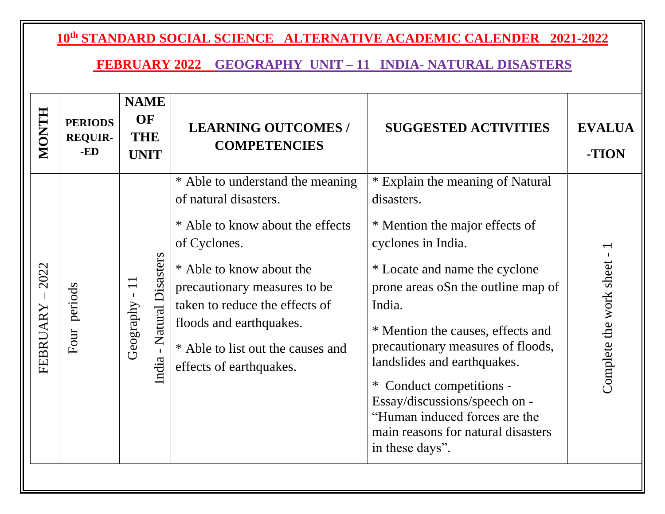### **10th STANDARD SOCIAL SCIENCE ALTERNATIVE ACADEMIC CALENDER 2021-2022**

#### **FEBRUARY 2022 GEOGRAPHY UNIT – 11 INDIA- NATURAL DISASTERS**

| HTNON            | <b>PERIODS</b><br><b>REQUIR-</b><br>$-ED$ | <b>NAME</b><br>OF<br><b>THE</b><br><b>UNIT</b> | <b>LEARNING OUTCOMES/</b><br><b>COMPETENCIES</b>                                                                                                                                                                                                                                                       | <b>SUGGESTED ACTIVITIES</b>                                                                                                                                                                                                                                                                                                                                                                                                                           | <b>EVALUA</b><br>-TION    |
|------------------|-------------------------------------------|------------------------------------------------|--------------------------------------------------------------------------------------------------------------------------------------------------------------------------------------------------------------------------------------------------------------------------------------------------------|-------------------------------------------------------------------------------------------------------------------------------------------------------------------------------------------------------------------------------------------------------------------------------------------------------------------------------------------------------------------------------------------------------------------------------------------------------|---------------------------|
| 2022<br>FEBRUARY | periods<br>Four                           | Natural Disasters<br>Geography<br>India        | * Able to understand the meaning<br>of natural disasters.<br>* Able to know about the effects<br>of Cyclones.<br>* Able to know about the<br>precautionary measures to be<br>taken to reduce the effects of<br>floods and earthquakes.<br>* Able to list out the causes and<br>effects of earthquakes. | * Explain the meaning of Natural<br>disasters.<br>* Mention the major effects of<br>cyclones in India.<br>* Locate and name the cyclone<br>prone areas oSn the outline map of<br>India.<br>* Mention the causes, effects and<br>precautionary measures of floods,<br>landslides and earthquakes.<br>Conduct competitions -<br>Essay/discussions/speech on -<br>"Human induced forces are the<br>main reasons for natural disasters<br>in these days". | Complete the work sheet - |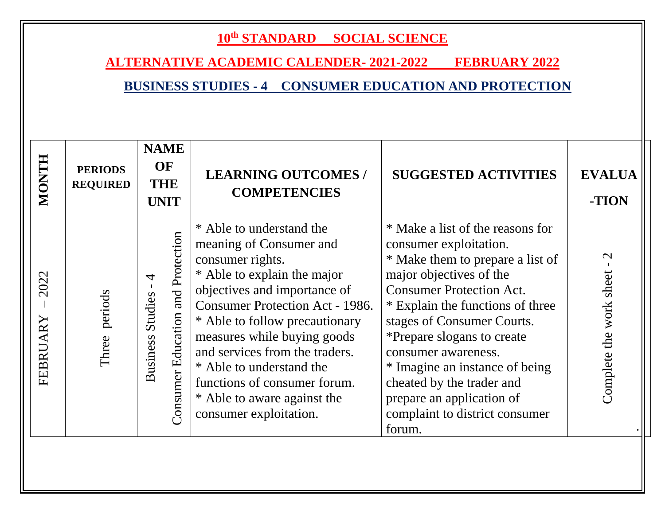### **10th STANDARD SOCIAL SCIENCE**

### **ALTERNATIVE ACADEMIC CALENDER- 2021-2022 FEBRUARY 2022**

#### **BUSINESS STUDIES - 4 CONSUMER EDUCATION AND PROTECTION**

| HINOM            | <b>PERIODS</b><br><b>REQUIRED</b> | <b>NAME</b><br><b>OF</b><br><b>THE</b><br><b>UNIT</b>                | <b>LEARNING OUTCOMES /</b><br><b>COMPETENCIES</b>                                                                                                                                                                                                                                                                                                                                                        | <b>SUGGESTED ACTIVITIES</b>                                                                                                                                                                                                                                                                                                                                                                                                 | <b>EVALUA</b><br>-TION                       |
|------------------|-----------------------------------|----------------------------------------------------------------------|----------------------------------------------------------------------------------------------------------------------------------------------------------------------------------------------------------------------------------------------------------------------------------------------------------------------------------------------------------------------------------------------------------|-----------------------------------------------------------------------------------------------------------------------------------------------------------------------------------------------------------------------------------------------------------------------------------------------------------------------------------------------------------------------------------------------------------------------------|----------------------------------------------|
| 2022<br>FEBRUARY | periods<br>Three                  | Consumer Education and Protection<br>4<br>Studies<br><b>Business</b> | * Able to understand the<br>meaning of Consumer and<br>consumer rights.<br>* Able to explain the major<br>objectives and importance of<br><b>Consumer Protection Act - 1986.</b><br>* Able to follow precautionary<br>measures while buying goods<br>and services from the traders.<br>* Able to understand the<br>functions of consumer forum.<br>* Able to aware against the<br>consumer exploitation. | * Make a list of the reasons for<br>consumer exploitation.<br>* Make them to prepare a list of<br>major objectives of the<br><b>Consumer Protection Act.</b><br>* Explain the functions of three<br>stages of Consumer Courts.<br>*Prepare slogans to create<br>consumer awareness.<br>* Imagine an instance of being<br>cheated by the trader and<br>prepare an application of<br>complaint to district consumer<br>forum. | $\mathbf{\Omega}$<br>Complete the work sheet |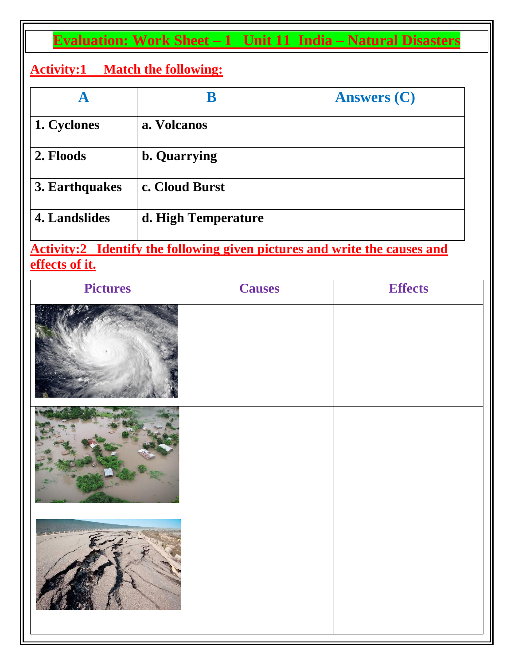### **Evaluation: Work Sheet – 1 Unit 11 India – Natural Disasters**

#### **Activity:1 Match the following:**

|                      |                     | <b>Answers (C)</b> |
|----------------------|---------------------|--------------------|
| 1. Cyclones          | a. Volcanos         |                    |
| 2. Floods            | <b>b.</b> Quarrying |                    |
| 3. Earthquakes       | c. Cloud Burst      |                    |
| <b>4. Landslides</b> | d. High Temperature |                    |

#### **Activity:2 Identify the following given pictures and write the causes and effects of it.**

| Pictures | <b>Causes</b> | <b>Effects</b> |
|----------|---------------|----------------|
|          |               |                |
|          |               |                |
|          |               |                |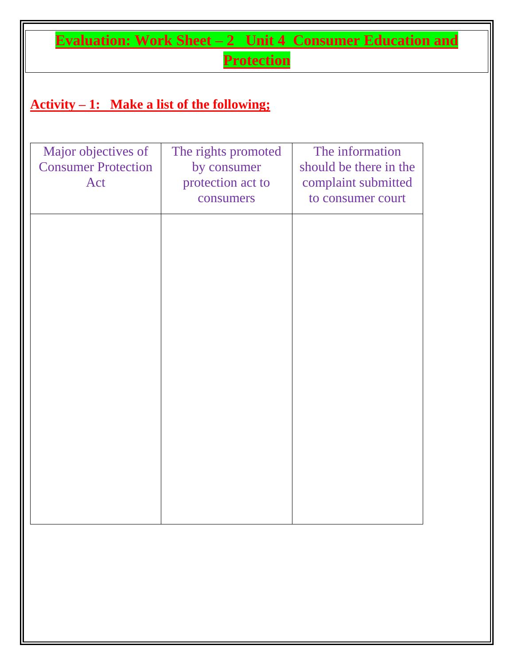| <u><b>Evaluation: Work Sheet - 2 Unit 4 Consumer Education and</b></u><br><b>Protection</b> |                                                                      |                                                                                       |  |  |  |
|---------------------------------------------------------------------------------------------|----------------------------------------------------------------------|---------------------------------------------------------------------------------------|--|--|--|
| $Activity - 1: Make a list of the following:$                                               |                                                                      |                                                                                       |  |  |  |
| Major objectives of<br><b>Consumer Protection</b><br>Act                                    | The rights promoted<br>by consumer<br>protection act to<br>consumers | The information<br>should be there in the<br>complaint submitted<br>to consumer court |  |  |  |
|                                                                                             |                                                                      |                                                                                       |  |  |  |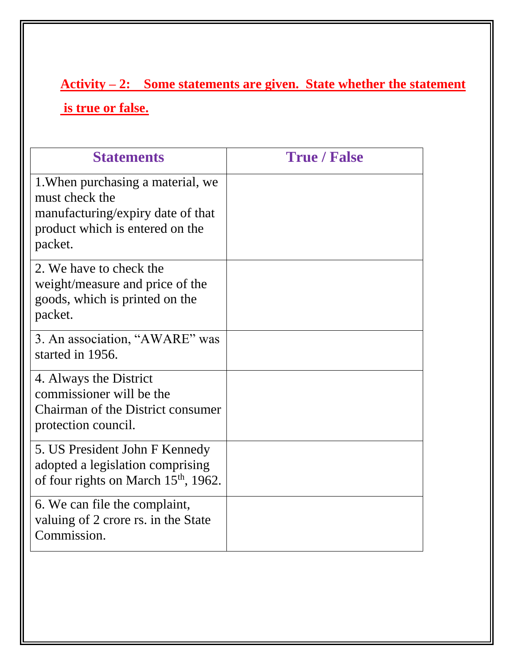# **Activity – 2: Some statements are given. State whether the statement is true or false.**

| <b>Statements</b>                                                                                                                      | <b>True / False</b> |
|----------------------------------------------------------------------------------------------------------------------------------------|---------------------|
| 1. When purchasing a material, we<br>must check the<br>manufacturing/expiry date of that<br>product which is entered on the<br>packet. |                     |
| 2. We have to check the<br>weight/measure and price of the<br>goods, which is printed on the<br>packet.                                |                     |
| 3. An association, "AWARE" was<br>started in 1956.                                                                                     |                     |
| 4. Always the District<br>commissioner will be the<br>Chairman of the District consumer<br>protection council.                         |                     |
| 5. US President John F Kennedy<br>adopted a legislation comprising<br>of four rights on March 15 <sup>th</sup> , 1962.                 |                     |
| 6. We can file the complaint,<br>valuing of 2 crore rs. in the State<br>Commission.                                                    |                     |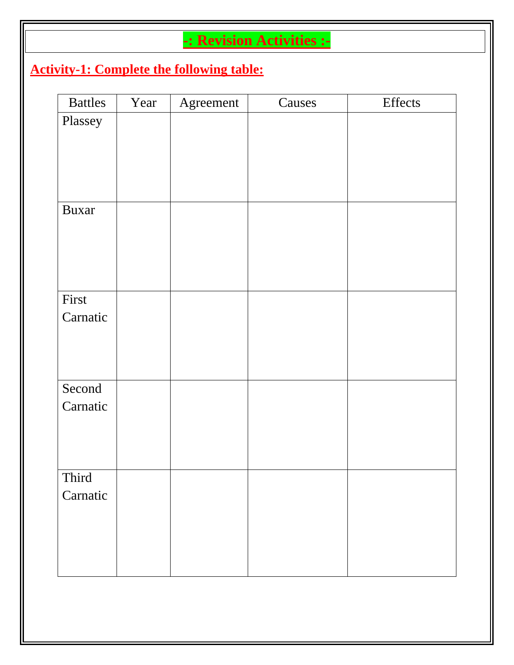### **-: Revision Activities :-**

## **Activity-1: Complete the following table:**

| <b>Battles</b> | Year | Agreement | Causes | Effects |
|----------------|------|-----------|--------|---------|
| Plassey        |      |           |        |         |
|                |      |           |        |         |
|                |      |           |        |         |
|                |      |           |        |         |
|                |      |           |        |         |
| <b>Buxar</b>   |      |           |        |         |
|                |      |           |        |         |
|                |      |           |        |         |
|                |      |           |        |         |
| First          |      |           |        |         |
| Carnatic       |      |           |        |         |
|                |      |           |        |         |
|                |      |           |        |         |
|                |      |           |        |         |
| Second         |      |           |        |         |
| Carnatic       |      |           |        |         |
|                |      |           |        |         |
|                |      |           |        |         |
|                |      |           |        |         |
| Third          |      |           |        |         |
| Carnatic       |      |           |        |         |
|                |      |           |        |         |
|                |      |           |        |         |
|                |      |           |        |         |
|                |      |           |        |         |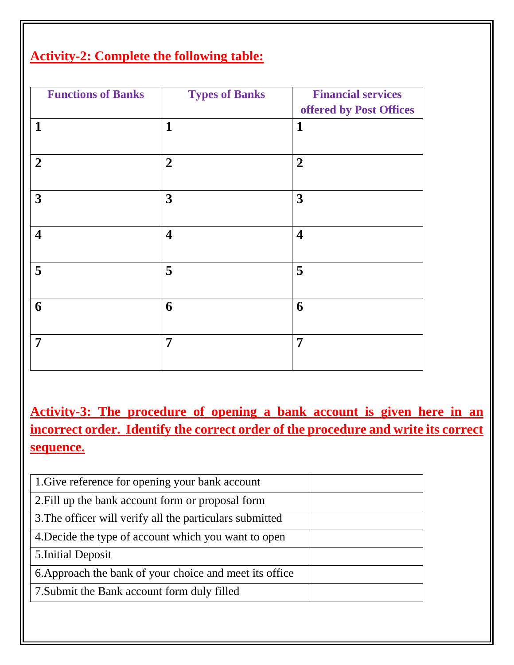#### **Activity-2: Complete the following table:**

| <b>Functions of Banks</b> | <b>Types of Banks</b>   | <b>Financial services</b><br>offered by Post Offices |
|---------------------------|-------------------------|------------------------------------------------------|
| $\mathbf{1}$              | $\mathbf{1}$            | 1                                                    |
| $\overline{2}$            | $\overline{2}$          | $\overline{2}$                                       |
| $\mathbf{3}$              | $\mathbf{3}$            | $\mathbf{3}$                                         |
| $\overline{\mathbf{4}}$   | $\overline{\mathbf{4}}$ | $\overline{\mathbf{4}}$                              |
| 5                         | 5                       | 5                                                    |
| 6                         | 6                       | 6                                                    |
| $\overline{7}$            | $\overline{7}$          | 7                                                    |

**Activity-3: The procedure of opening a bank account is given here in an incorrect order. Identify the correct order of the procedure and write its correct sequence.**

| 1. Give reference for opening your bank account          |  |
|----------------------------------------------------------|--|
| 2. Fill up the bank account form or proposal form        |  |
| 3. The officer will verify all the particulars submitted |  |
| 4. Decide the type of account which you want to open     |  |
| 5. Initial Deposit                                       |  |
| 6. Approach the bank of your choice and meet its office  |  |
| 7. Submit the Bank account form duly filled              |  |
|                                                          |  |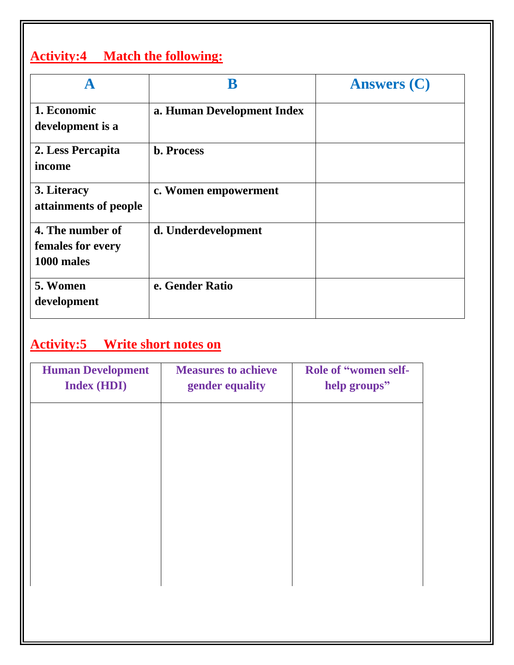## **Activity:4 Match the following:**

|                                                     | R                          | <b>Answers (C)</b> |
|-----------------------------------------------------|----------------------------|--------------------|
| 1. Economic<br>development is a                     | a. Human Development Index |                    |
| 2. Less Percapita<br>income                         | <b>b.</b> Process          |                    |
| 3. Literacy<br>attainments of people                | c. Women empowerment       |                    |
| 4. The number of<br>females for every<br>1000 males | d. Underdevelopment        |                    |
| 5. Women<br>development                             | e. Gender Ratio            |                    |

### **Activity:5 Write short notes on**

| <b>Human Development</b><br><b>Index (HDI)</b> | <b>Measures to achieve</b><br>gender equality | Role of "women self-<br>help groups" |
|------------------------------------------------|-----------------------------------------------|--------------------------------------|
|                                                |                                               |                                      |
|                                                |                                               |                                      |
|                                                |                                               |                                      |
|                                                |                                               |                                      |
|                                                |                                               |                                      |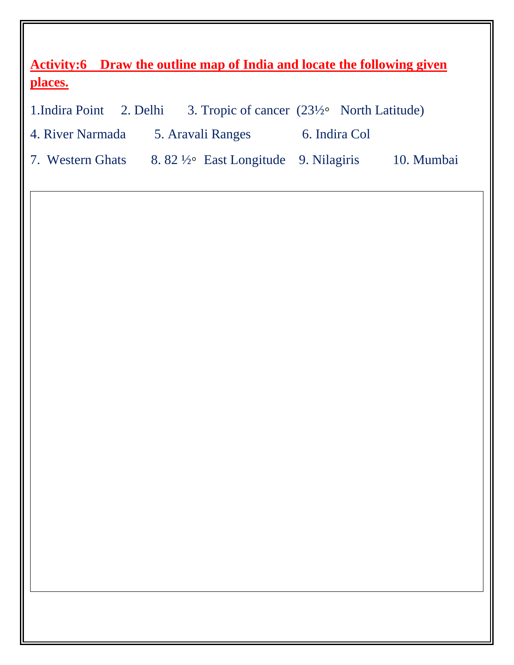### **Activity:6 Draw the outline map of India and locate the following given places.**

1.Indira Point 2. Delhi 3. Tropic of cancer  $(23\frac{1}{2})$  North Latitude)

4. River Narmada 5. Aravali Ranges 6. Indira Col

7. Western Ghats 8. 82 1/2° East Longitude 9. Nilagiris 10. Mumbai